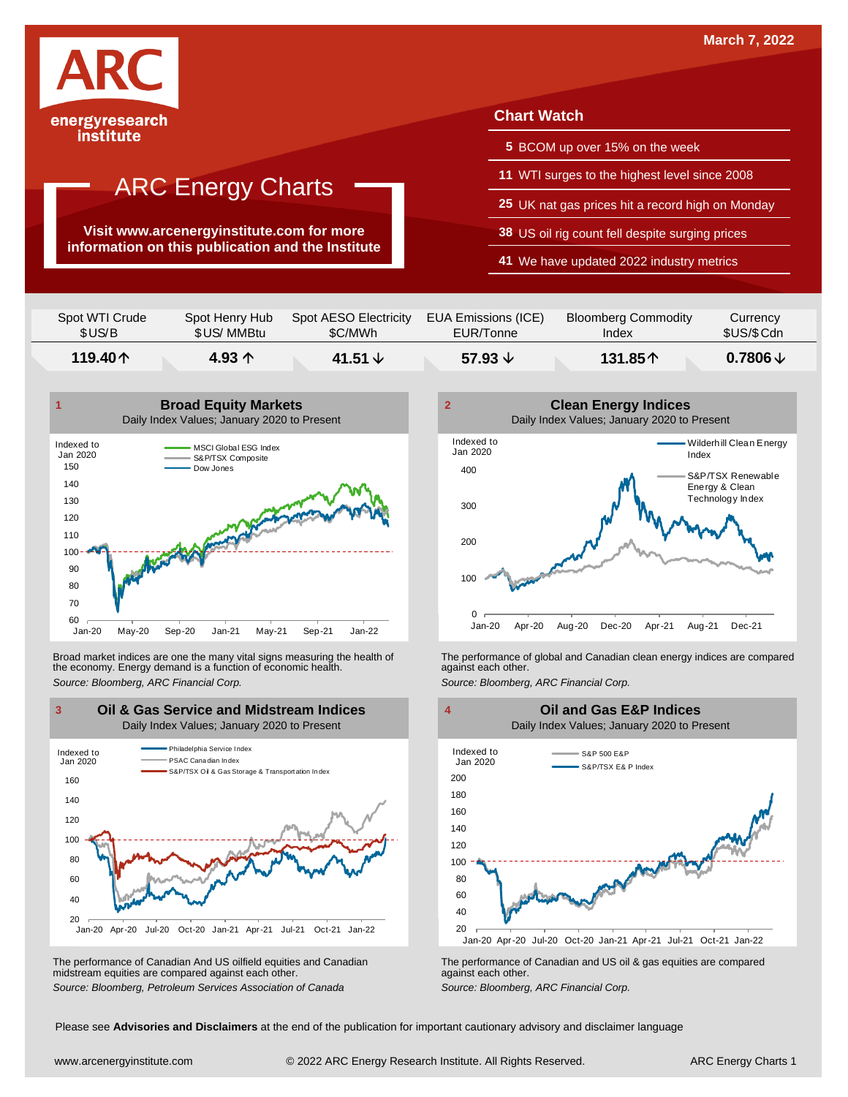

#### institute

### ARC Energy Charts

**Visit www.arcenergyinstitute.com for more information on this publication and the Institute**

#### **Chart Watch**

- **5** BCOM up over 15% on the week
- **11** WTI surges to the highest level since 2008
- **25** UK nat gas prices hit a record high on Monday
- **38** US oil rig count fell despite surging prices
- **41** We have updated 2022 industry metrics

| Spot WTI Crude | Spot Henry Hub  | Spot AESO Electricity | EUA Emissions (ICE) | <b>Bloomberg Commodity</b> | Currency            |
|----------------|-----------------|-----------------------|---------------------|----------------------------|---------------------|
| \$US/B         | \$US/ MMBtu     | \$C/MWh               | EUR/Tonne           | Index                      | \$US/\$Cdn          |
| 119.40个        | 4.93 $\uparrow$ | 41.51 $\sqrt{ }$      | 57.93 $\downarrow$  | 131.85个                    | $0.7806 \downarrow$ |



Broad market indices are one the many vital signs measuring the health of the economy. Energy demand is a function of economic health. Broad market indices are one the many vital signs measuring the health of The performance of global and Canadian clean energy indices are compared<br>the economy. Energy demand is a function of economic health.<br>Source: Bloomb



The performance of Canadian And US oilfield equities and Canadian midstream equities are compared against each other. The performance of Canadian And US oilfield equities and Canadian **Frank Constant Prank Constant Prank Constant**<br>The performance of Canadian and US oil & gas equities are compared<br>Source: Bloomberg, Petroleum Services Asso



 20 40 60 80 100 120 140 160 180 200 Jan-20 Apr-20 Jul-20 Oct-20 Jan-21 Apr-21 Jul-21 Oct-21 Jan-22 S&P 500 E&P S&P/TSX E& P Index Indexed to Jan 2020 **Oil and Gas E&P Indices** Daily Index Values; January 2020 to Present

Please see **Advisories and Disclaimers** at the end of the publication for important cautionary advisory and disclaimer language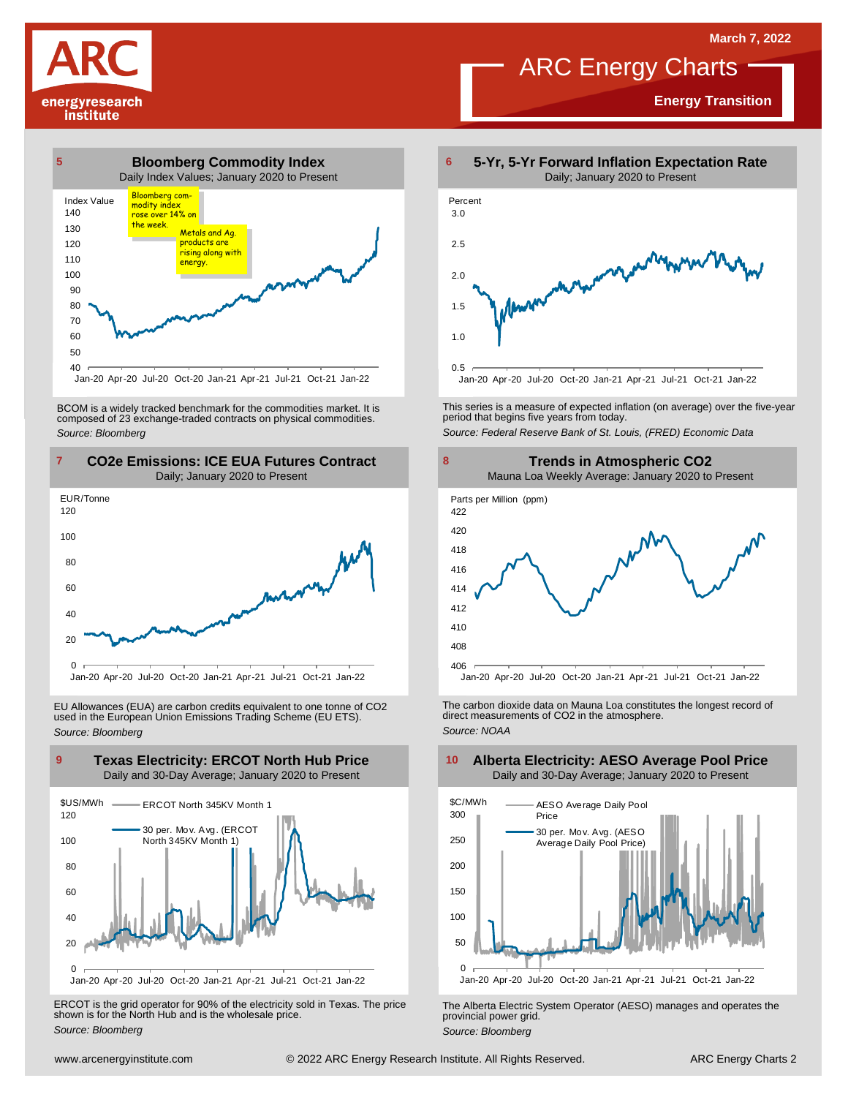**Energy Transition**

### ARC Energy Charts





Jan-20 Apr-20 Jul-20 Oct-20 Jan-21 Apr-21 Jul-21 Oct-21 Jan-22

BCOM is <sup>a</sup> widely tracked benchmark for the commodities market. It is composed of <sup>23</sup> exchange-traded contracts on physical commodities. *Source: Bloomberg*



EU Allowances (EUA) are carbon credits equivalent to one tonne of CO2 used in the European Union Emissions Trading Scheme (EU ETS). *Source: Bloomberg*



ERCOT is the grid operator for 90% of the electricity sold in Texas. The price shown is for the North Hub and is the wholesale price. *Source: Bloomberg*



This series is <sup>a</sup> measure of expected inflation (on average) over the five-year period that begins five years from today. *Source: Federal Reserve Bank of St. Louis, (FRED) Economic Data*



The carbon dioxide data on Mauna Loa constitutes the longest record of direct measurements of CO2 in the atmosphere. *Source: NOAA*



The Alberta Electric System Operator (AESO) manages and operates the provincial power grid. *Source: Bloomberg*

#### **Alberta Electricity: AESO Average Pool Price** Daily and 30-Day Average; January 2020 to Present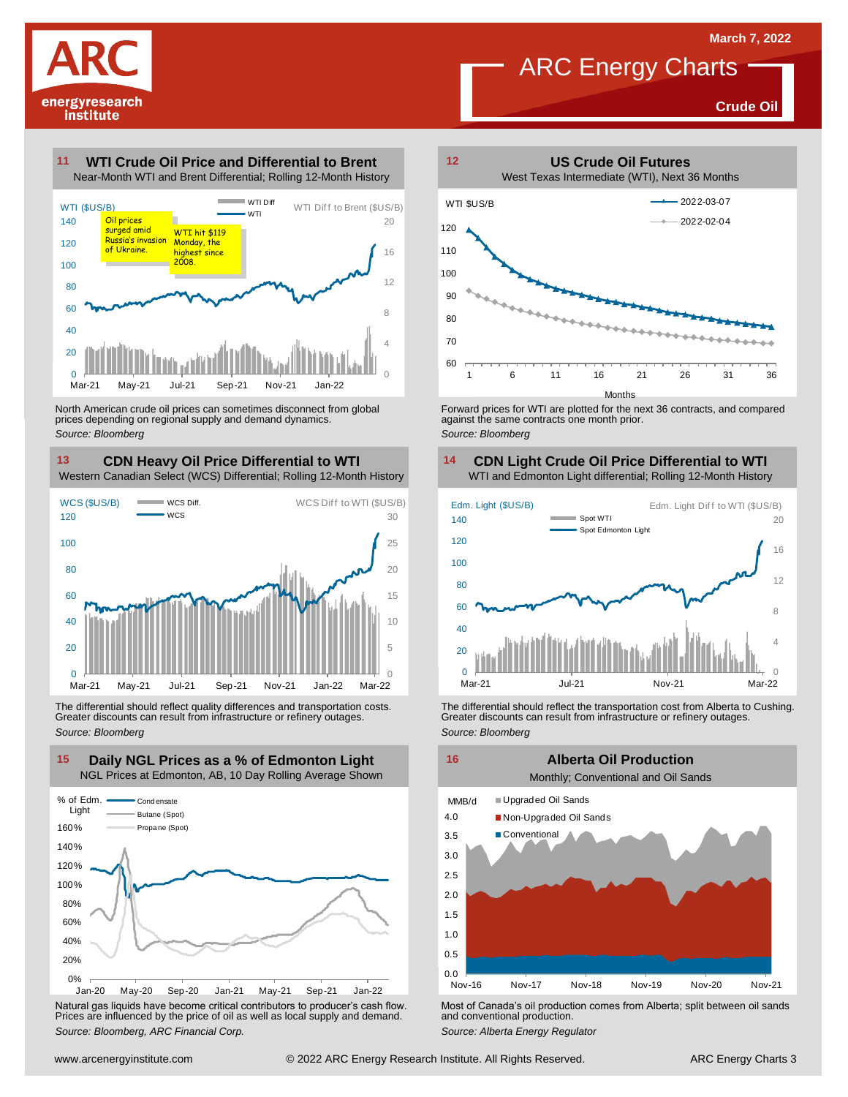

### ARC Energy Charts

**Crude Oil**

#### **WTI Crude Oil Price and Differential to Brent 11**



North American crude oil prices can sometimes disconnect from global prices depending on regional supply and demand dynamics. *Source: Bloomberg*

### **CDN Heavy Oil Price Differential to WTI 13 14**

Western Canadian Select (WCS) Differential; Rolling 12-Month History



The differential should reflect quality differences and transportation costs. Greater discounts can result from infrastructure or refinery outages. *Source: Bloomberg*



Natural gas liquids have become critical contributors to producer's cash flow. Most of Canada's oil production comes from Alberta; split between oil sands<br>Prices are influenced by the price of oil as well as local supply a



Forward prices for WTI are plotted for the next 36 contracts, and compared against the same contracts one month prior. *Source: Bloomberg*

### **CDN Light Crude Oil Price Differential to WTI**



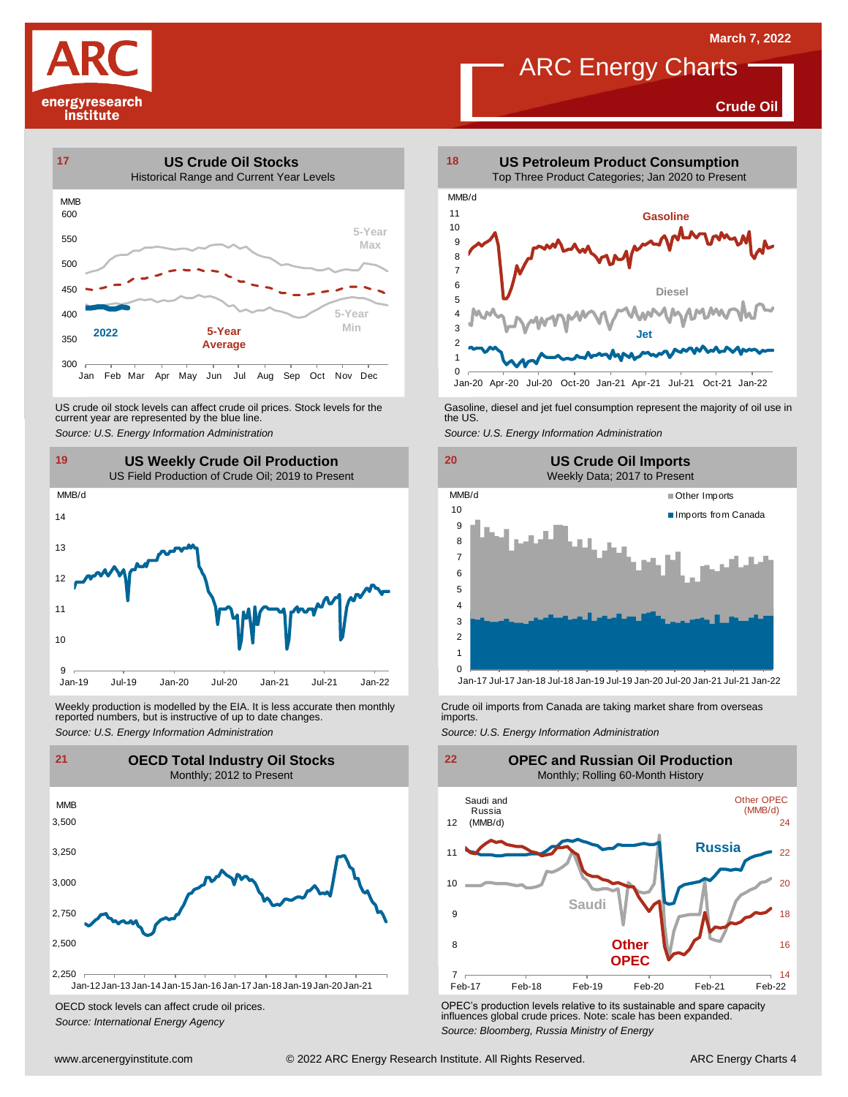# ARC Energy Charts

**Crude Oil**





US crude oil stock levels can affect crude oil prices. Stock levels for the current year are represented by the blue line. US crude oil stock levels can affect crude oil prices. Stock levels for the Gasoline, diesel and jet fuel consumption represent the majority of oil use in<br>current year are represented by the blue line.<br>Source: U.S. Energy



Weekly production is modelled by the EIA. It is less accurate then monthly Crude oil imports from Canada are taking market share from overseas<br>The imports in the more from overseas imports imports.<br>Source: U.S. Energy Info



OECD stock levels can affect crude oil prices. *Source: International Energy Agency*







OPEC's production levels relative to its sustainable and spare capacity influences global crude prices. Note: scale has been expanded. *Source: Bloomberg, Russia Ministry of Energy*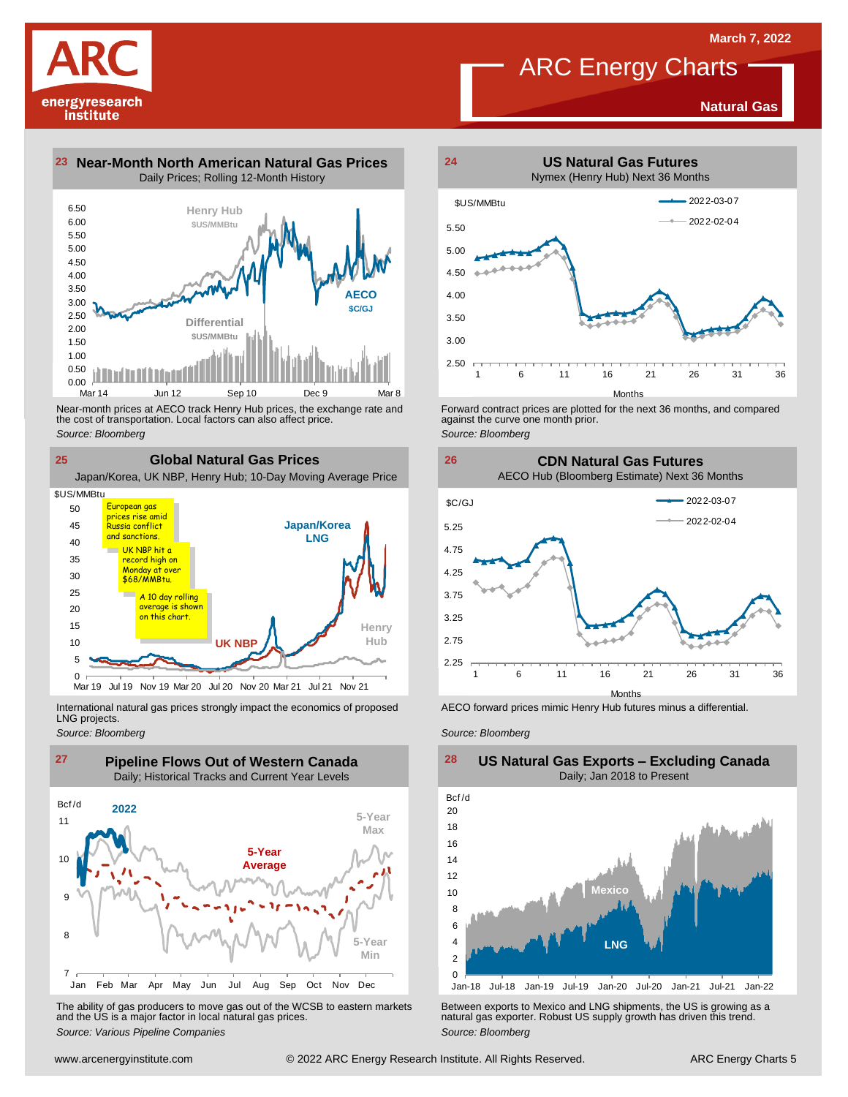**Natural Gas**

# **ARC Energy Charts**



**23 Near-Month North American Natural Gas Prices 24** Daily Prices; Rolling 12-Month History



Near-month prices at AECO track Henry Hub prices, the exchange rate and<br>the cost of transportation. Local factors can also affect price.<br>Source: Bloomberg<br>**CIObal Natural Gas Prices**<br>Japan/Korea, UK NBP, Henry Hub; 10-Day the cost of transportation. Local factors can also affect price. *Source: Bloomberg*

**Global Natural Gas Prices**

**25**

**Japan/Korea LNG Henry** UK NBP **A**  $0 \nightharpoonup$ Mar 19 5 10 15  $20$ 25 30 35  $4<sup>c</sup>$ 45 50 Jul 19 Nov 19 Mar 20 Jul 20 Nov 20 Mar 21 Jul 21 Nov 21 \$US/MMBtu European gas prices rise amid Russia conflict and sanctions. UK NBP hit a <mark>record high on</mark><br>Monday at over Monday \$68/MMBtu. A 10 day rolling average is shown on this chart

International natural gas prices strongly impact the economics of proposed LNG projects.

*Source: Bloomberg*



The ability of gas producers to move gas out of the WCSB to eastern markets Between exports to Mexico and LNG shipments, the US is growing as a<br>and the US is a major factor in local natural gas prices.<br>Source: Bloomberg Va



Forward contract prices are plotted for the next <sup>36</sup> months, and compared against the curve one month prior. *Source: Bloomberg*

**26 CDN Natural Gas Futures** AECO Hub (Bloomberg Estimate) Next 36 Months



AECO forward prices mimic Henry Hub futures minus a differential.

*Source: Bloomberg*



#### **US Natural Gas Exports – Excluding Canada** Daily; Jan 2018 to Present  $\frac{28}{\text{Bcf/d}}$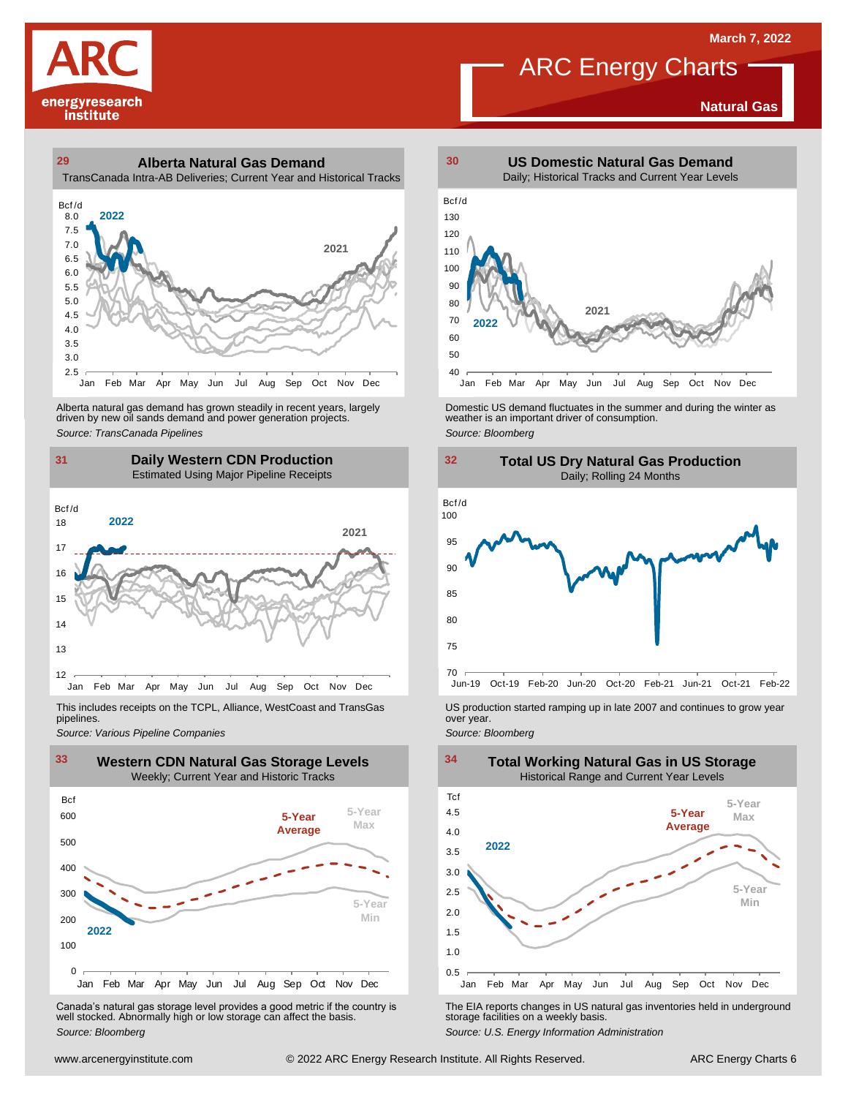**Natural Gas**



#### **29 30 Alberta Natural Gas Demand** TransCanada Intra-AB Deliveries; Current Year and Historical Tracks



Alberta natural gas demand has grown steadily in recent years, largely<br>
driven by new oil sands demand and power generation projects.<br>
Source: *Bloomberg*<br>
Source: *Bloomberg*<br>
Daily Western CDN Production<br>
Estimated Using Alberta natural gas demand has grown steadily in recent years, largely **Domestic US demand fluctuates in the summer** and during the winter as driven by new oil sands demand and power generation projects.<br>Ariven by new oil

### **31 32 Daily Western CDN Production** Estimated Using Major Pipeline Receipts  $\frac{31}{\text{Bcf/d}}$



This includes receipts on the TCPL, Alliance, WestCoast and TransGas pipelines.



WE Canada's natural gas storage level provides a good metric if the country is<br>
Canada's natural gas storage level provides a good metric if the country is<br>
Well stocked. Abnormally high or low storage can affect the basi Canada's natural gas storage level provides <sup>a</sup> good metric if the country is well stocked. Abnormally high or low storage can affect the basis. *Source: Bloomberg*



ARC Energy Charts





*Source: Pipelines Pipelines Pipelines Pipelines Pipelines Companies Pipeline Pipelines Pipelines Pipelines Pipelines Companies Pipeline Companies Pipeline Companies Pipeline Companies Pip* 



The EIA reports changes in US natural gas inventories held in underground storage facilities on <sup>a</sup> weekly basis.

*Source: U.S. Energy Information Administration*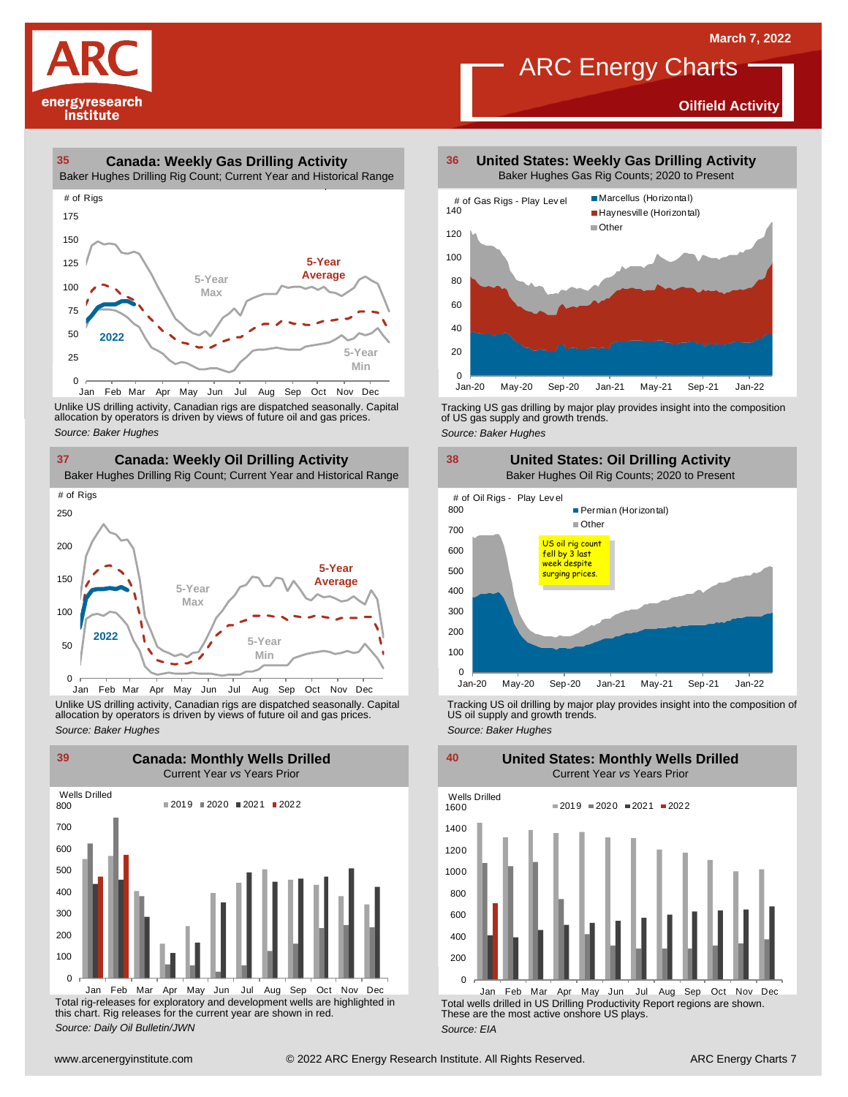**Oilfield Activity**



#### **35 36 Canada: Weekly Gas Drilling Activity**

Baker Hughes Drilling Rig Count; Current Year and Historical Range



Unlike US drilling activity, Canadian rigs are dispatched seasonally. Capital<br>allocation by operators is driven by views of future oil and gas prices. 0<br>Jan Feb Mar<br>Unlike US drilling activi<br>allocation by operators<br>Source: Baker Hughes



Unlike US drilling activity, Canadian rigs are dispatched seasonally. Capital Tracking US oil drilling by major play provides insight into the composition of<br>allocation by operators is driven by views of future oil and gas



Total rig-releases for exploratory and development wells are highlighted in this chart. Rig releases for the current year are shown in red. *Source: Daily Oil Bulletin/JWN* Jan Feb Mar Apr May Jun Jul Aug Sep Oct Nov Dec

**United States: Weekly Gas Drilling Activity** Baker Hughes Gas Rig Counts; 2020 to Present

ARC Energy Charts



Tracking US gas drilling by major play provides insight into the composition of US gas supply and growth trends.

*Source: Baker Hughes*



Tracking US oil drilling by major play provides insight into the composition of US oil supply and growth trends. *Source: Baker Hughes*

**United States: Monthly Wells Drilled**

 $\Omega$ 200 400 600 800 1000 1200 1400 1600 Wells Drilled  $2019 = 2020 = 2021 = 2022$ 

Total wells drilled in US Drilling Productivity Report regions are shown. These are the most active onshore US plays. *Source: EIA* Jan Feb Mar Apr May Jun Jul Aug Sep Oct Nov Dec